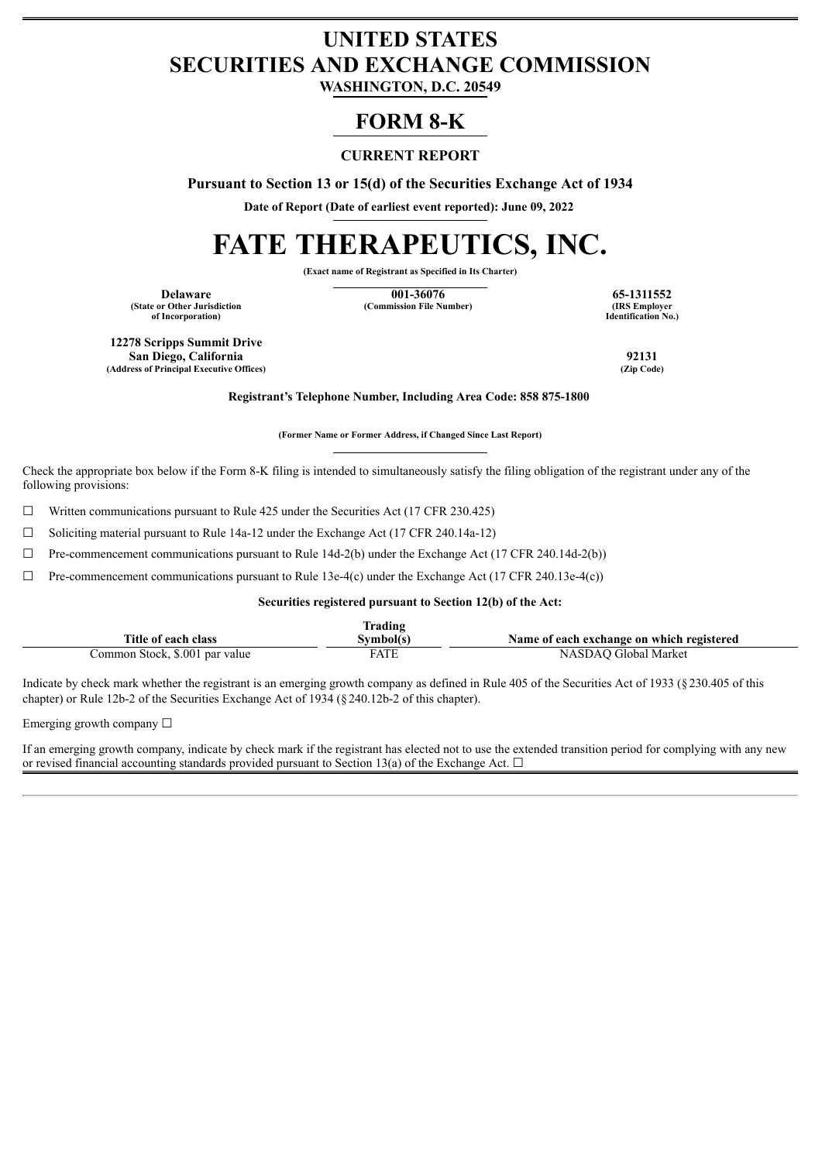## **UNITED STATES SECURITIES AND EXCHANGE COMMISSION**

**WASHINGTON, D.C. 20549**

### **FORM 8-K**

#### **CURRENT REPORT**

**Pursuant to Section 13 or 15(d) of the Securities Exchange Act of 1934**

**Date of Report (Date of earliest event reported): June 09, 2022**

# **FATE THERAPEUTICS, INC.**

**(Exact name of Registrant as Specified in Its Charter)**

**(State or Other Jurisdiction of Incorporation)**

**Delaware 65-1311552**<br> **1001-36076 65-1311552**<br> **1001-36076 65-1311552**<br> **1001-36076 65-1311552 (Commission File Number)** 

**Identification No.)**

**12278 Scripps Summit Drive San Diego, California 92131 (Address of Principal Executive Offices)** 

**Registrant's Telephone Number, Including Area Code: 858 875-1800**

**(Former Name or Former Address, if Changed Since Last Report)**

Check the appropriate box below if the Form 8-K filing is intended to simultaneously satisfy the filing obligation of the registrant under any of the following provisions:

 $\Box$  Written communications pursuant to Rule 425 under the Securities Act (17 CFR 230.425)

☐ Soliciting material pursuant to Rule 14a-12 under the Exchange Act (17 CFR 240.14a-12)

 $\Box$  Pre-commencement communications pursuant to Rule 14d-2(b) under the Exchange Act (17 CFR 240.14d-2(b))

 $\Box$  Pre-commencement communications pursuant to Rule 13e-4(c) under the Exchange Act (17 CFR 240.13e-4(c))

**Securities registered pursuant to Section 12(b) of the Act:**

|                                | Trading     |                                           |
|--------------------------------|-------------|-------------------------------------------|
| Title of each class            | Svmbol(s)   | Name of each exchange on which registered |
| Common Stock, \$.001 par value | <b>FATE</b> | NASDAO Global Market                      |

Indicate by check mark whether the registrant is an emerging growth company as defined in Rule 405 of the Securities Act of 1933 (§230.405 of this chapter) or Rule 12b-2 of the Securities Exchange Act of 1934 (§240.12b-2 of this chapter).

Emerging growth company  $\Box$ 

If an emerging growth company, indicate by check mark if the registrant has elected not to use the extended transition period for complying with any new or revised financial accounting standards provided pursuant to Section 13(a) of the Exchange Act.  $\Box$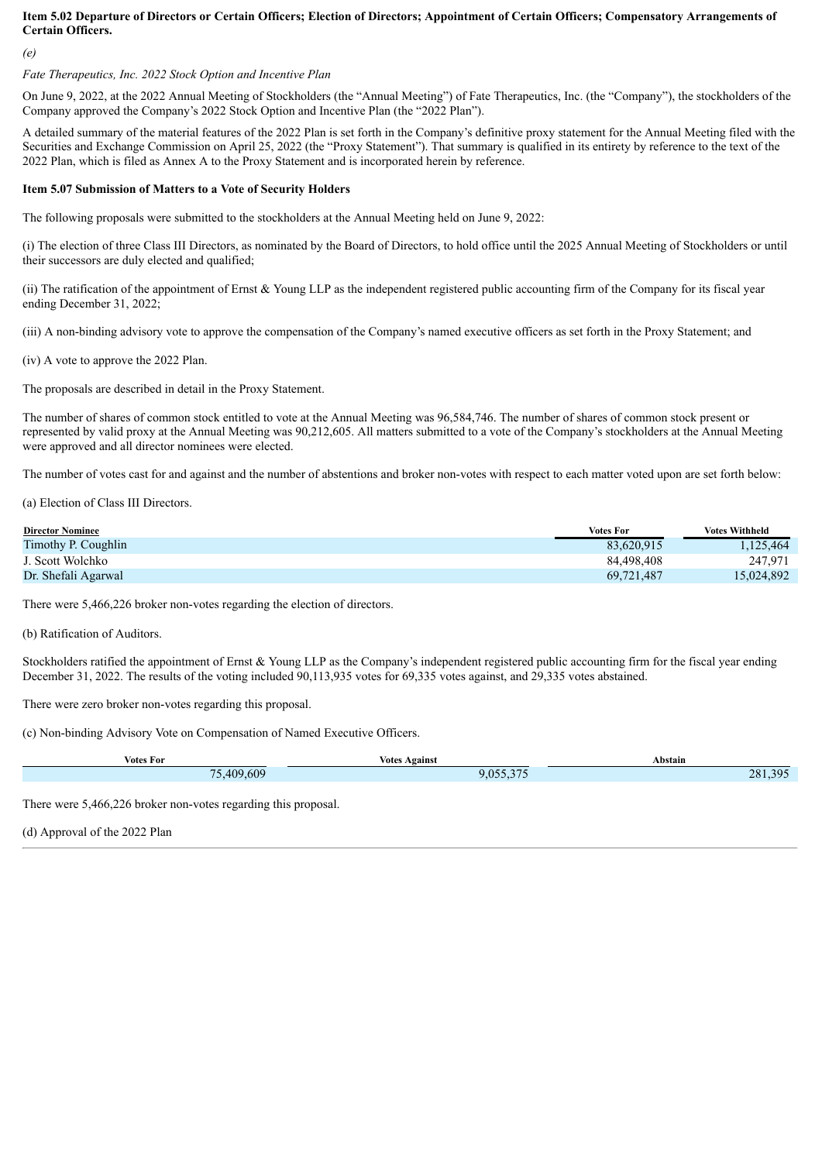#### Item 5.02 Departure of Directors or Certain Officers; Election of Directors; Appointment of Certain Officers; Compensatory Arrangements of **Certain Officers.**

*(e)*

#### *Fate Therapeutics, Inc. 2022 Stock Option and Incentive Plan*

On June 9, 2022, at the 2022 Annual Meeting of Stockholders (the "Annual Meeting") of Fate Therapeutics, Inc. (the "Company"), the stockholders of the Company approved the Company's 2022 Stock Option and Incentive Plan (the "2022 Plan").

A detailed summary of the material features of the 2022 Plan is set forth in the Company's definitive proxy statement for the Annual Meeting filed with the Securities and Exchange Commission on April 25, 2022 (the "Proxy Statement"). That summary is qualified in its entirety by reference to the text of the 2022 Plan, which is filed as Annex A to the Proxy Statement and is incorporated herein by reference.

#### **Item 5.07 Submission of Matters to a Vote of Security Holders**

The following proposals were submitted to the stockholders at the Annual Meeting held on June 9, 2022:

(i) The election of three Class III Directors, as nominated by the Board of Directors, to hold office until the 2025 Annual Meeting of Stockholders or until their successors are duly elected and qualified;

(ii) The ratification of the appointment of Ernst & Young LLP as the independent registered public accounting firm of the Company for its fiscal year ending December 31, 2022;

(iii) A non-binding advisory vote to approve the compensation of the Company's named executive officers as set forth in the Proxy Statement; and

(iv) A vote to approve the 2022 Plan.

The proposals are described in detail in the Proxy Statement.

The number of shares of common stock entitled to vote at the Annual Meeting was 96,584,746. The number of shares of common stock present or represented by valid proxy at the Annual Meeting was 90,212,605. All matters submitted to a vote of the Company's stockholders at the Annual Meeting were approved and all director nominees were elected.

The number of votes cast for and against and the number of abstentions and broker non-votes with respect to each matter voted upon are set forth below:

(a) Election of Class III Directors.

| <b>Director Nominee</b> | <b>Votes For</b> | <b>Votes Withheld</b> |
|-------------------------|------------------|-----------------------|
| Timothy P. Coughlin     | 83,620,915       | 1.125.464             |
| J. Scott Wolchko        | 84.498.408       | 247.971               |
| Dr. Shefali Agarwal     | 69.721.487       | 15,024,892            |

There were 5,466,226 broker non-votes regarding the election of directors.

(b) Ratification of Auditors.

Stockholders ratified the appointment of Ernst & Young LLP as the Company's independent registered public accounting firm for the fiscal year ending December 31, 2022. The results of the voting included 90,113,935 votes for 69,335 votes against, and 29,335 votes abstained.

There were zero broker non-votes regarding this proposal.

(c) Non-binding Advisory Vote on Compensation of Named Executive Officers.

| <b>Votes For</b> | $\cdot$ $\cdot$<br><b>Votes Against</b> | Abstain         |
|------------------|-----------------------------------------|-----------------|
| ,409,609         | 0.055.275                               | 30 <sup>7</sup> |
| 75               | 9,033,313                               | 281.3           |

There were 5,466,226 broker non-votes regarding this proposal.

(d) Approval of the 2022 Plan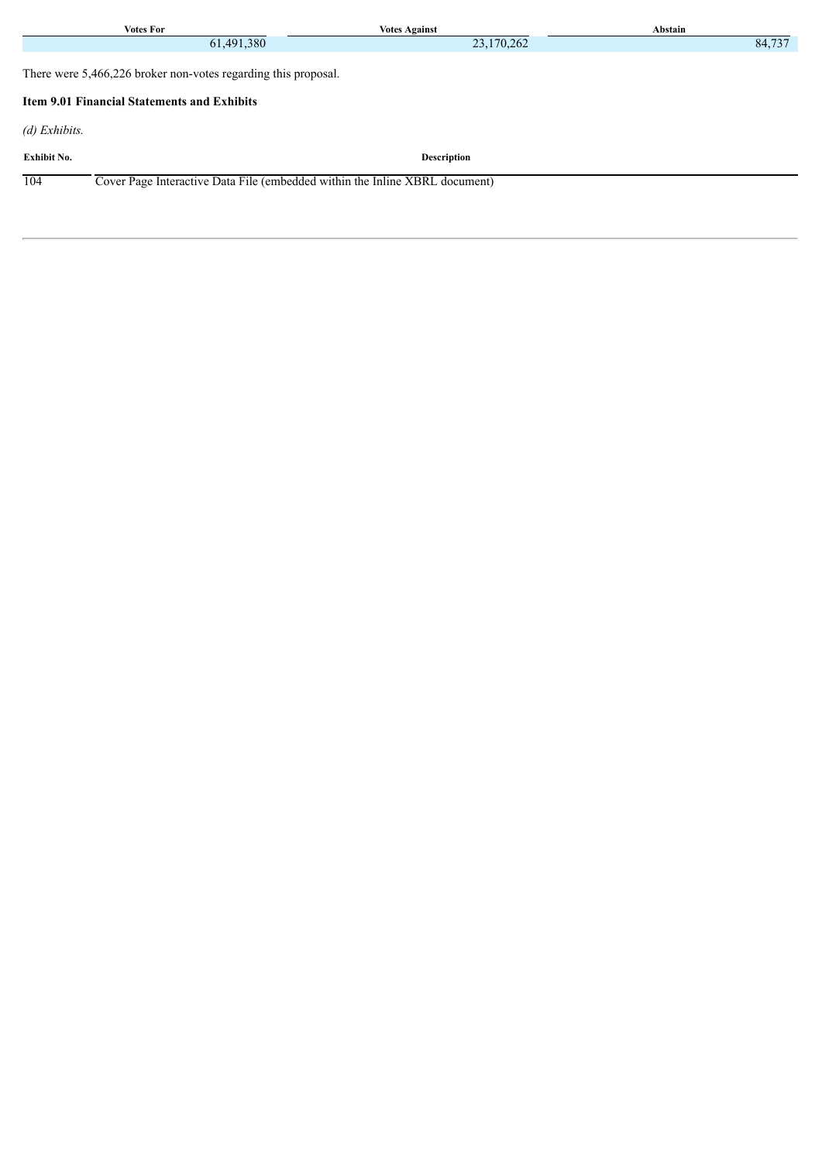| <b>Votes For</b>                                                                   | <b>Votes Against</b> | Abstain |  |  |  |
|------------------------------------------------------------------------------------|----------------------|---------|--|--|--|
| 61,491,380                                                                         | 23,170,262           | 84,737  |  |  |  |
| There were 5,466,226 broker non-votes regarding this proposal.                     |                      |         |  |  |  |
| <b>Item 9.01 Financial Statements and Exhibits</b>                                 |                      |         |  |  |  |
| $(d)$ Exhibits.                                                                    |                      |         |  |  |  |
| <b>Exhibit No.</b>                                                                 | <b>Description</b>   |         |  |  |  |
| Cover Page Interactive Data File (embedded within the Inline XBRL document)<br>104 |                      |         |  |  |  |